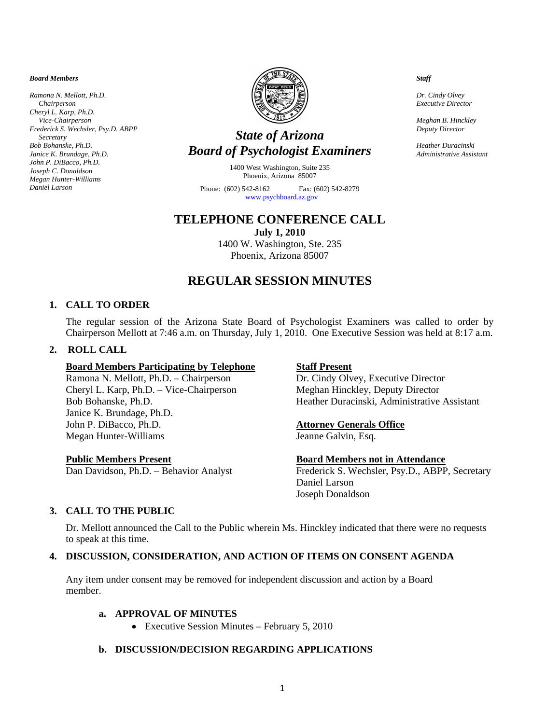*Board Members* 

*Ramona N. Mellott, Ph.D. Chairperson Cheryl L. Karp, Ph.D. Vice-Chairperson Frederick S. Wechsler, Psy.D. ABPP Secretary Bob Bohanske, Ph.D. Janice K. Brundage, Ph.D. John P. DiBacco, Ph.D. Joseph C. Donaldson Megan Hunter-Williams Daniel Larson* 



# *State of Arizona Board of Psychologist Examiners*

1400 West Washington, Suite 235 Phoenix, Arizona 85007

Phone: (602) 542-8162 Fax: (602) 542-8279 [www.psychboard.az.gov](http://www.psychboard.az.gov/) 

# **TELEPHONE CONFERENCE CALL**

**July 1, 2010**  1400 W. Washington, Ste. 235 Phoenix, Arizona 85007

# **REGULAR SESSION MINUTES**

### **1. CALL TO ORDER**

The regular session of the Arizona State Board of Psychologist Examiners was called to order by Chairperson Mellott at 7:46 a.m. on Thursday, July 1, 2010. One Executive Session was held at 8:17 a.m.

### **2. ROLL CALL**

#### **Board Members Participating by Telephone Staff Present**

Ramona N. Mellott, Ph.D. – Chairperson Dr. Cindy Olvey, Executive Director Cheryl L. Karp, Ph.D. – Vice-Chairperson Meghan Hinckley, Deputy Director Janice K. Brundage, Ph.D. John P. DiBacco, Ph.D. **Attorney Generals Office** Megan Hunter-Williams Jeanne Galvin, Esq.

Bob Bohanske, Ph.D. Heather Duracinski, Administrative Assistant

#### **Public Members Present Board Members not in Attendance**

Dan Davidson, Ph.D. – Behavior Analyst Frederick S. Wechsler, Psy.D., ABPP, Secretary Daniel Larson Joseph Donaldson

# **3. CALL TO THE PUBLIC**

Dr. Mellott announced the Call to the Public wherein Ms. Hinckley indicated that there were no requests to speak at this time.

# **4. DISCUSSION, CONSIDERATION, AND ACTION OF ITEMS ON CONSENT AGENDA**

Any item under consent may be removed for independent discussion and action by a Board member.

#### **a. APPROVAL OF MINUTES**

• Executive Session Minutes – February 5, 2010

# **b. DISCUSSION/DECISION REGARDING APPLICATIONS**

*Staff* 

*Dr. Cindy Olvey Executive Director* 

*Meghan B. Hinckley Deputy Director* 

*Heather Duracinski Administrative Assistant*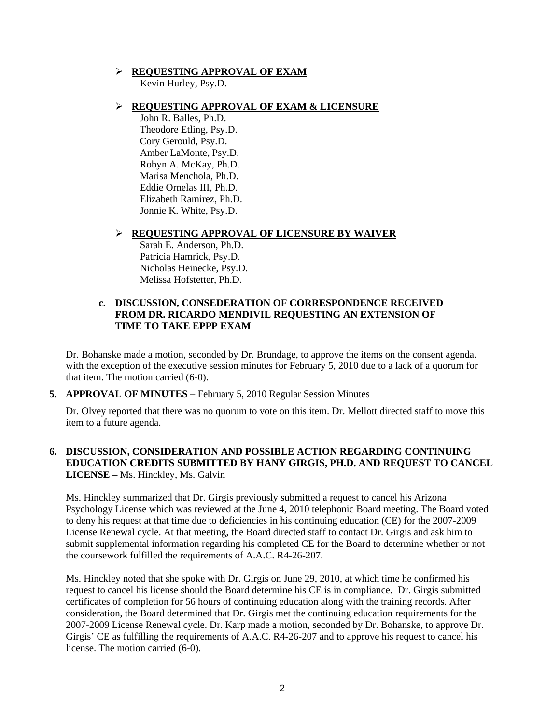# **REQUESTING APPROVAL OF EXAM**

Kevin Hurley, Psy.D.

## **REQUESTING APPROVAL OF EXAM & LICENSURE**

 John R. Balles, Ph.D. Theodore Etling, Psy.D. Cory Gerould, Psy.D. Amber LaMonte, Psy.D. Robyn A. McKay, Ph.D. Marisa Menchola, Ph.D. Eddie Ornelas III, Ph.D. Elizabeth Ramirez, Ph.D. Jonnie K. White, Psy.D.

### **REQUESTING APPROVAL OF LICENSURE BY WAIVER**

 Sarah E. Anderson, Ph.D. Patricia Hamrick, Psy.D. Nicholas Heinecke, Psy.D. Melissa Hofstetter, Ph.D.

#### **c. DISCUSSION, CONSEDERATION OF CORRESPONDENCE RECEIVED FROM DR. RICARDO MENDIVIL REQUESTING AN EXTENSION OF TIME TO TAKE EPPP EXAM**

Dr. Bohanske made a motion, seconded by Dr. Brundage, to approve the items on the consent agenda. with the exception of the executive session minutes for February 5, 2010 due to a lack of a quorum for that item. The motion carried (6-0).

**5. APPROVAL OF MINUTES –** February 5, 2010 Regular Session Minutes

Dr. Olvey reported that there was no quorum to vote on this item. Dr. Mellott directed staff to move this item to a future agenda.

# **6. DISCUSSION, CONSIDERATION AND POSSIBLE ACTION REGARDING CONTINUING EDUCATION CREDITS SUBMITTED BY HANY GIRGIS, PH.D. AND REQUEST TO CANCEL LICENSE –** Ms. Hinckley, Ms. Galvin

Ms. Hinckley summarized that Dr. Girgis previously submitted a request to cancel his Arizona Psychology License which was reviewed at the June 4, 2010 telephonic Board meeting. The Board voted to deny his request at that time due to deficiencies in his continuing education (CE) for the 2007-2009 License Renewal cycle. At that meeting, the Board directed staff to contact Dr. Girgis and ask him to submit supplemental information regarding his completed CE for the Board to determine whether or not the coursework fulfilled the requirements of A.A.C. R4-26-207.

Ms. Hinckley noted that she spoke with Dr. Girgis on June 29, 2010, at which time he confirmed his request to cancel his license should the Board determine his CE is in compliance. Dr. Girgis submitted certificates of completion for 56 hours of continuing education along with the training records. After consideration, the Board determined that Dr. Girgis met the continuing education requirements for the 2007-2009 License Renewal cycle. Dr. Karp made a motion, seconded by Dr. Bohanske, to approve Dr. Girgis' CE as fulfilling the requirements of A.A.C. R4-26-207 and to approve his request to cancel his license. The motion carried (6-0).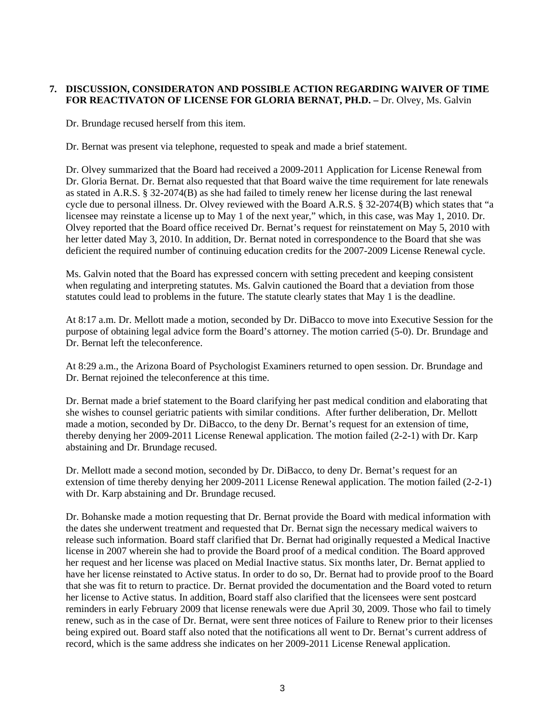## **7. DISCUSSION, CONSIDERATON AND POSSIBLE ACTION REGARDING WAIVER OF TIME**  FOR REACTIVATON OF LICENSE FOR GLORIA BERNAT, PH.D. - Dr. Olvey, Ms. Galvin

Dr. Brundage recused herself from this item.

Dr. Bernat was present via telephone, requested to speak and made a brief statement.

Dr. Olvey summarized that the Board had received a 2009-2011 Application for License Renewal from Dr. Gloria Bernat. Dr. Bernat also requested that that Board waive the time requirement for late renewals as stated in A.R.S. § 32-2074(B) as she had failed to timely renew her license during the last renewal cycle due to personal illness. Dr. Olvey reviewed with the Board A.R.S. § 32-2074(B) which states that "a licensee may reinstate a license up to May 1 of the next year," which, in this case, was May 1, 2010. Dr. Olvey reported that the Board office received Dr. Bernat's request for reinstatement on May 5, 2010 with her letter dated May 3, 2010. In addition, Dr. Bernat noted in correspondence to the Board that she was deficient the required number of continuing education credits for the 2007-2009 License Renewal cycle.

Ms. Galvin noted that the Board has expressed concern with setting precedent and keeping consistent when regulating and interpreting statutes. Ms. Galvin cautioned the Board that a deviation from those statutes could lead to problems in the future. The statute clearly states that May 1 is the deadline.

At 8:17 a.m. Dr. Mellott made a motion, seconded by Dr. DiBacco to move into Executive Session for the purpose of obtaining legal advice form the Board's attorney. The motion carried (5-0). Dr. Brundage and Dr. Bernat left the teleconference.

At 8:29 a.m., the Arizona Board of Psychologist Examiners returned to open session. Dr. Brundage and Dr. Bernat rejoined the teleconference at this time.

 Dr. Bernat made a brief statement to the Board clarifying her past medical condition and elaborating that she wishes to counsel geriatric patients with similar conditions. After further deliberation, Dr. Mellott made a motion, seconded by Dr. DiBacco, to the deny Dr. Bernat's request for an extension of time, thereby denying her 2009-2011 License Renewal application. The motion failed (2-2-1) with Dr. Karp abstaining and Dr. Brundage recused.

 Dr. Mellott made a second motion, seconded by Dr. DiBacco, to deny Dr. Bernat's request for an extension of time thereby denying her 2009-2011 License Renewal application. The motion failed (2-2-1) with Dr. Karp abstaining and Dr. Brundage recused.

 Dr. Bohanske made a motion requesting that Dr. Bernat provide the Board with medical information with the dates she underwent treatment and requested that Dr. Bernat sign the necessary medical waivers to release such information. Board staff clarified that Dr. Bernat had originally requested a Medical Inactive license in 2007 wherein she had to provide the Board proof of a medical condition. The Board approved her request and her license was placed on Medial Inactive status. Six months later, Dr. Bernat applied to have her license reinstated to Active status. In order to do so, Dr. Bernat had to provide proof to the Board that she was fit to return to practice. Dr. Bernat provided the documentation and the Board voted to return her license to Active status. In addition, Board staff also clarified that the licensees were sent postcard reminders in early February 2009 that license renewals were due April 30, 2009. Those who fail to timely renew, such as in the case of Dr. Bernat, were sent three notices of Failure to Renew prior to their licenses being expired out. Board staff also noted that the notifications all went to Dr. Bernat's current address of record, which is the same address she indicates on her 2009-2011 License Renewal application.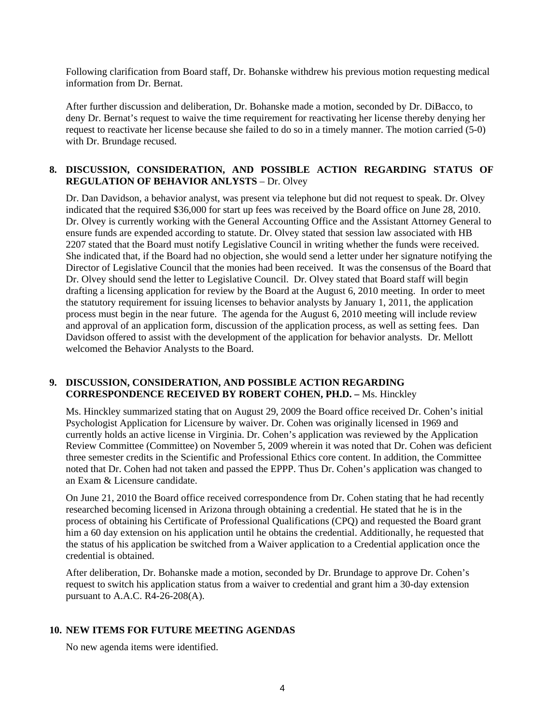Following clarification from Board staff, Dr. Bohanske withdrew his previous motion requesting medical information from Dr. Bernat.

After further discussion and deliberation, Dr. Bohanske made a motion, seconded by Dr. DiBacco, to deny Dr. Bernat's request to waive the time requirement for reactivating her license thereby denying her request to reactivate her license because she failed to do so in a timely manner. The motion carried (5-0) with Dr. Brundage recused.

#### **8. DISCUSSION, CONSIDERATION, AND POSSIBLE ACTION REGARDING STATUS OF REGULATION OF BEHAVIOR ANLYSTS** – Dr. Olvey

Dr. Dan Davidson, a behavior analyst, was present via telephone but did not request to speak. Dr. Olvey indicated that the required \$36,000 for start up fees was received by the Board office on June 28, 2010. Dr. Olvey is currently working with the General Accounting Office and the Assistant Attorney General to ensure funds are expended according to statute. Dr. Olvey stated that session law associated with HB 2207 stated that the Board must notify Legislative Council in writing whether the funds were received. She indicated that, if the Board had no objection, she would send a letter under her signature notifying the Director of Legislative Council that the monies had been received. It was the consensus of the Board that Dr. Olvey should send the letter to Legislative Council. Dr. Olvey stated that Board staff will begin drafting a licensing application for review by the Board at the August 6, 2010 meeting. In order to meet the statutory requirement for issuing licenses to behavior analysts by January 1, 2011, the application process must begin in the near future. The agenda for the August 6, 2010 meeting will include review and approval of an application form, discussion of the application process, as well as setting fees. Dan Davidson offered to assist with the development of the application for behavior analysts. Dr. Mellott welcomed the Behavior Analysts to the Board.

#### **9. DISCUSSION, CONSIDERATION, AND POSSIBLE ACTION REGARDING CORRESPONDENCE RECEIVED BY ROBERT COHEN, PH.D. –** Ms. Hinckley

Ms. Hinckley summarized stating that on August 29, 2009 the Board office received Dr. Cohen's initial Psychologist Application for Licensure by waiver. Dr. Cohen was originally licensed in 1969 and currently holds an active license in Virginia. Dr. Cohen's application was reviewed by the Application Review Committee (Committee) on November 5, 2009 wherein it was noted that Dr. Cohen was deficient three semester credits in the Scientific and Professional Ethics core content. In addition, the Committee noted that Dr. Cohen had not taken and passed the EPPP. Thus Dr. Cohen's application was changed to an Exam & Licensure candidate.

On June 21, 2010 the Board office received correspondence from Dr. Cohen stating that he had recently researched becoming licensed in Arizona through obtaining a credential. He stated that he is in the process of obtaining his Certificate of Professional Qualifications (CPQ) and requested the Board grant him a 60 day extension on his application until he obtains the credential. Additionally, he requested that the status of his application be switched from a Waiver application to a Credential application once the credential is obtained.

After deliberation, Dr. Bohanske made a motion, seconded by Dr. Brundage to approve Dr. Cohen's request to switch his application status from a waiver to credential and grant him a 30-day extension pursuant to A.A.C. R4-26-208(A).

#### **10. NEW ITEMS FOR FUTURE MEETING AGENDAS**

No new agenda items were identified.